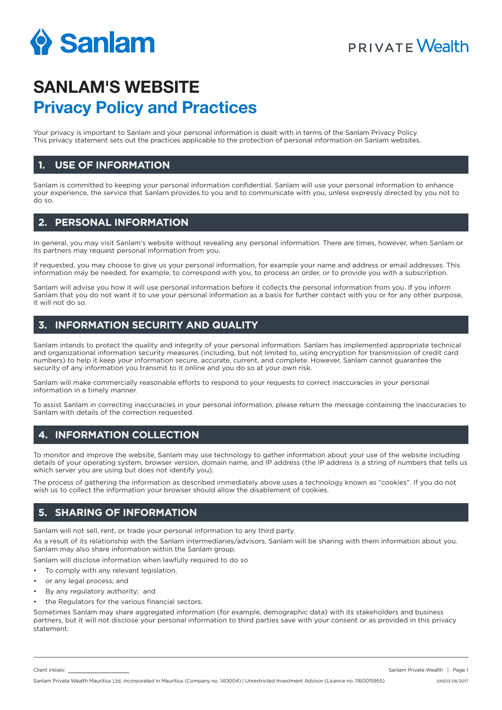

## **PRIVATE Wealth**

# **SANLAM'S WEBSITE Privacy Policy and Practices**

Your privacy is important to Sanlam and your personal information is dealt with in terms of the Sanlam Privacy Policy. This privacy statement sets out the practices applicable to the protection of personal information on Sanlam websites.

#### **1. USE OF INFORMATION**

Sanlam is committed to keeping your personal information confidential. Sanlam will use your personal information to enhance your experience, the service that Sanlam provides to you and to communicate with you, unless expressly directed by you not to do so.

## **2. PERSONAL INFORMATION**

In general, you may visit Sanlam's website without revealing any personal information. There are times, however, when Sanlam or its partners may request personal information from you.

If requested, you may choose to give us your personal information, for example your name and address or email addresses. This information may be needed, for example, to correspond with you, to process an order, or to provide you with a subscription.

Sanlam will advise you how it will use personal information before it collects the personal information from you. If you inform Sanlam that you do not want it to use your personal information as a basis for further contact with you or for any other purpose, it will not do so.

## **3. INFORMATION SECURITY AND QUALITY**

Sanlam intends to protect the quality and integrity of your personal information. Sanlam has implemented appropriate technical and organizational information security measures (including, but not limited to, using encryption for transmission of credit card numbers) to help it keep your information secure, accurate, current, and complete. However, Sanlam cannot guarantee the security of any information you transmit to it online and you do so at your own risk.

Sanlam will make commercially reasonable efforts to respond to your requests to correct inaccuracies in your personal information in a timely manner.

To assist Sanlam in correcting inaccuracies in your personal information, please return the message containing the inaccuracies to Sanlam with details of the correction requested.

## **4. INFORMATION COLLECTION**

To monitor and improve the website, Sanlam may use technology to gather information about your use of the website including details of your operating system, browser version, domain name, and IP address (the IP address is a string of numbers that tells us which server you are using but does not identify you).

The process of gathering the information as described immediately above uses a technology known as "cookies". If you do not wish us to collect the information your browser should allow the disablement of cookies.

#### **5. SHARING OF INFORMATION**

Sanlam will not sell, rent, or trade your personal information to any third party.

As a result of its relationship with the Sanlam intermediaries/advisors, Sanlam will be sharing with them information about you. Sanlam may also share information within the Sanlam group.

Sanlam will disclose information when lawfully required to do so

- To comply with any relevant legislation,
- or any legal process; and
- By any regulatory authority; and
- the Regulators for the various financial sectors.

Sometimes Sanlam may share aggregated information (for example, demographic data) with its stakeholders and business partners, but it will not disclose your personal information to third parties save with your consent or as provided in this privacy statement.

Client initials: Sanlam Private Wealth | Page 1